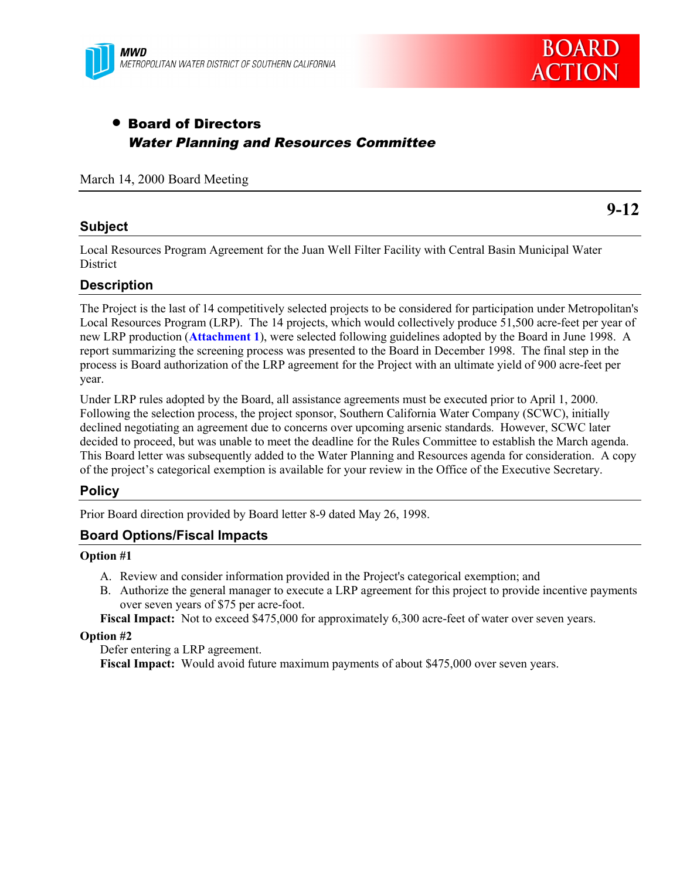

# • Board of Directors Water Planning and Resources Committee

March 14, 2000 Board Meeting

### **Subject**

**9-12**

Local Resources Program Agreement for the Juan Well Filter Facility with Central Basin Municipal Water **District** 

#### **Description**

The Project is the last of 14 competitively selected projects to be considered for participation under Metropolitan's Local Resources Program (LRP). The 14 projects, which would collectively produce 51,500 acre-feet per year of new LRP production (**Attachment 1**), were selected following guidelines adopted by the Board in June 1998. A report summarizing the screening process was presented to the Board in December 1998. The final step in the process is Board authorization of the LRP agreement for the Project with an ultimate yield of 900 acre-feet per year.

Under LRP rules adopted by the Board, all assistance agreements must be executed prior to April 1, 2000. Following the selection process, the project sponsor, Southern California Water Company (SCWC), initially declined negotiating an agreement due to concerns over upcoming arsenic standards. However, SCWC later decided to proceed, but was unable to meet the deadline for the Rules Committee to establish the March agenda. This Board letter was subsequently added to the Water Planning and Resources agenda for consideration. A copy of the project's categorical exemption is available for your review in the Office of the Executive Secretary.

#### **Policy**

Prior Board direction provided by Board letter 8-9 dated May 26, 1998.

### **Board Options/Fiscal Impacts**

#### **Option #1**

- A. Review and consider information provided in the Project's categorical exemption; and
- B. Authorize the general manager to execute a LRP agreement for this project to provide incentive payments over seven years of \$75 per acre-foot.

**Fiscal Impact:** Not to exceed \$475,000 for approximately 6,300 acre-feet of water over seven years.

#### **Option #2**

Defer entering a LRP agreement. **Fiscal Impact:** Would avoid future maximum payments of about \$475,000 over seven years.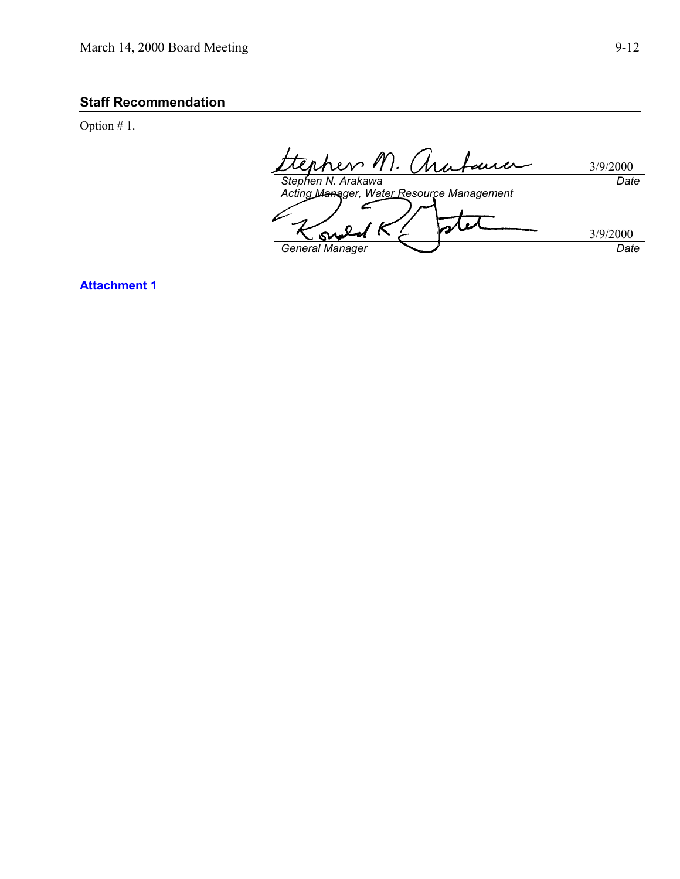### **Staff Recommendation**

Option # 1.

rhers M. mu 3/9/2000 *Date Stephen N. Arakawa Acting Manager, Water Resource Management*  $\epsilon$ onal ' K 3/9/2000 *General Manager Date*

**Attachment 1**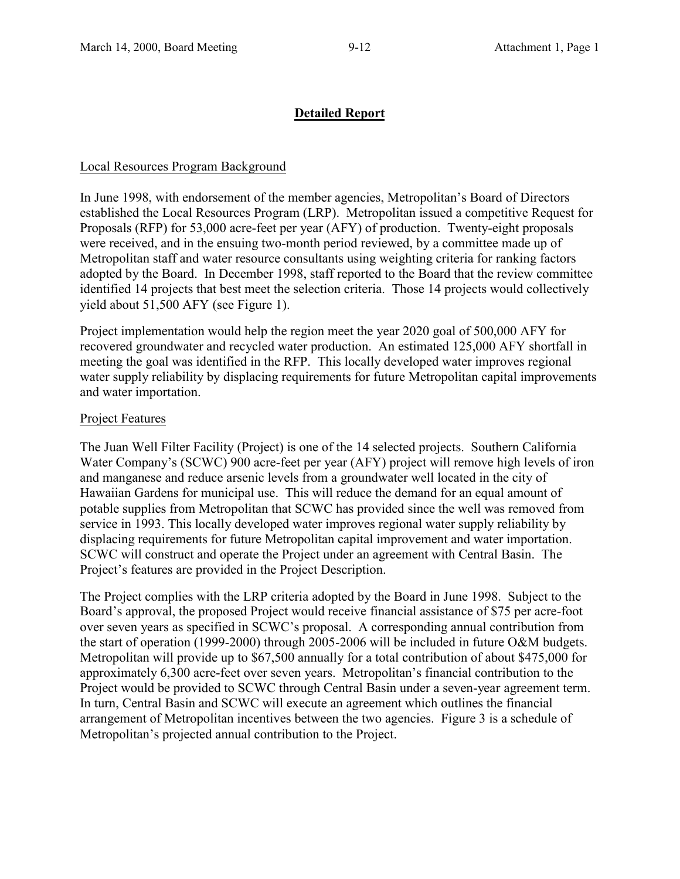### **Detailed Report**

### Local Resources Program Background

In June 1998, with endorsement of the member agencies, Metropolitan's Board of Directors established the Local Resources Program (LRP). Metropolitan issued a competitive Request for Proposals (RFP) for 53,000 acre-feet per year (AFY) of production. Twenty-eight proposals were received, and in the ensuing two-month period reviewed, by a committee made up of Metropolitan staff and water resource consultants using weighting criteria for ranking factors adopted by the Board. In December 1998, staff reported to the Board that the review committee identified 14 projects that best meet the selection criteria. Those 14 projects would collectively yield about 51,500 AFY (see Figure 1).

Project implementation would help the region meet the year 2020 goal of 500,000 AFY for recovered groundwater and recycled water production. An estimated 125,000 AFY shortfall in meeting the goal was identified in the RFP. This locally developed water improves regional water supply reliability by displacing requirements for future Metropolitan capital improvements and water importation.

### Project Features

The Juan Well Filter Facility (Project) is one of the 14 selected projects. Southern California Water Company's (SCWC) 900 acre-feet per year (AFY) project will remove high levels of iron and manganese and reduce arsenic levels from a groundwater well located in the city of Hawaiian Gardens for municipal use. This will reduce the demand for an equal amount of potable supplies from Metropolitan that SCWC has provided since the well was removed from service in 1993. This locally developed water improves regional water supply reliability by displacing requirements for future Metropolitan capital improvement and water importation. SCWC will construct and operate the Project under an agreement with Central Basin. The Project's features are provided in the Project Description.

The Project complies with the LRP criteria adopted by the Board in June 1998. Subject to the Board's approval, the proposed Project would receive financial assistance of \$75 per acre-foot over seven years as specified in SCWC's proposal. A corresponding annual contribution from the start of operation (1999-2000) through 2005-2006 will be included in future O&M budgets. Metropolitan will provide up to \$67,500 annually for a total contribution of about \$475,000 for approximately 6,300 acre-feet over seven years. Metropolitan's financial contribution to the Project would be provided to SCWC through Central Basin under a seven-year agreement term. In turn, Central Basin and SCWC will execute an agreement which outlines the financial arrangement of Metropolitan incentives between the two agencies. Figure 3 is a schedule of Metropolitan's projected annual contribution to the Project.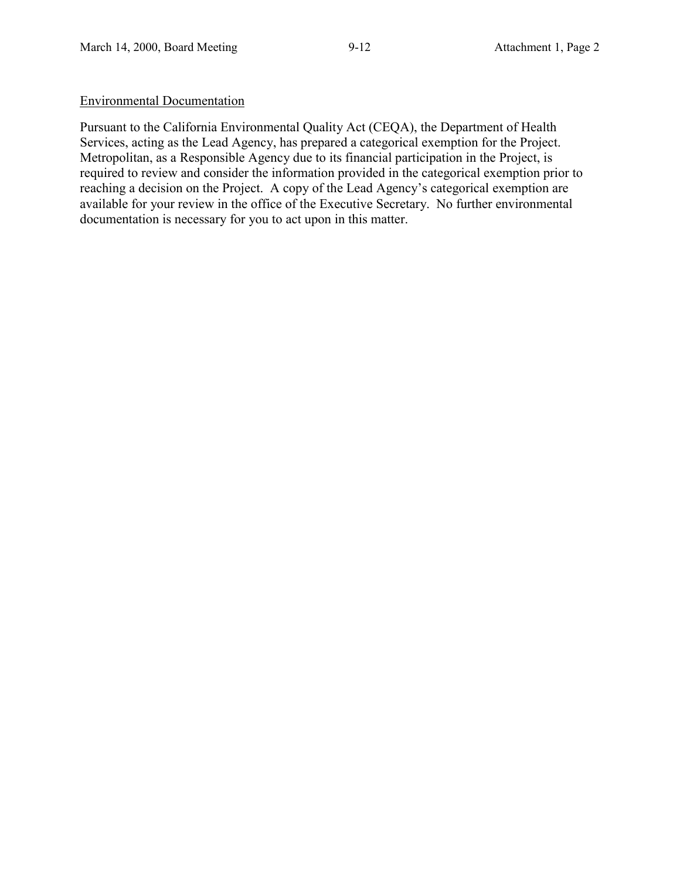### Environmental Documentation

Pursuant to the California Environmental Quality Act (CEQA), the Department of Health Services, acting as the Lead Agency, has prepared a categorical exemption for the Project. Metropolitan, as a Responsible Agency due to its financial participation in the Project, is required to review and consider the information provided in the categorical exemption prior to reaching a decision on the Project. A copy of the Lead Agency's categorical exemption are available for your review in the office of the Executive Secretary. No further environmental documentation is necessary for you to act upon in this matter.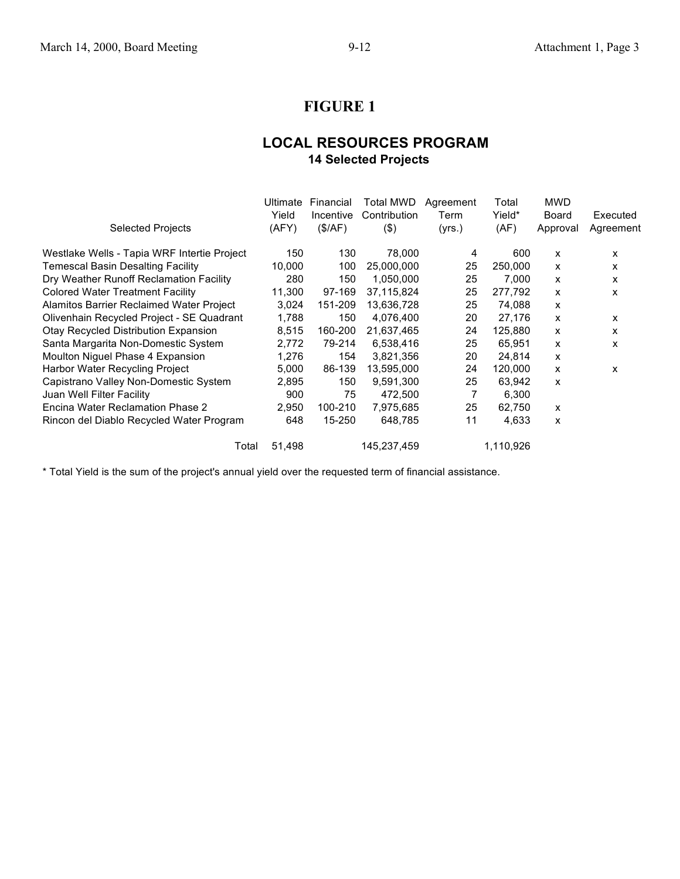# **FIGURE 1**

### **LOCAL RESOURCES PROGRAM 14 Selected Projects**

| <b>Selected Projects</b>                    | Ultimate<br>Yield<br>(AFY) | Financial<br>Incentive<br>(\$/AF) | Total MWD<br>Contribution<br>$($ \$) | Agreement<br>Term<br>(yrs.) | Total<br>Yield*<br>(AF) | <b>MWD</b><br>Board<br>Approval | Executed<br>Agreement |
|---------------------------------------------|----------------------------|-----------------------------------|--------------------------------------|-----------------------------|-------------------------|---------------------------------|-----------------------|
|                                             |                            |                                   |                                      |                             |                         |                                 |                       |
| Westlake Wells - Tapia WRF Intertie Project | 150                        | 130                               | 78,000                               | 4                           | 600                     | X                               | x                     |
| <b>Temescal Basin Desalting Facility</b>    | 10,000                     | 100                               | 25,000,000                           | 25                          | 250,000                 | X                               | x                     |
| Dry Weather Runoff Reclamation Facility     | 280                        | 150                               | 1,050,000                            | 25                          | 7,000                   | x                               | x                     |
| <b>Colored Water Treatment Facility</b>     | 11,300                     | 97-169                            | 37,115,824                           | 25                          | 277,792                 | x                               | x                     |
| Alamitos Barrier Reclaimed Water Project    | 3,024                      | 151-209                           | 13,636,728                           | 25                          | 74,088                  | x                               |                       |
| Olivenhain Recycled Project - SE Quadrant   | 1,788                      | 150                               | 4,076,400                            | 20                          | 27,176                  | X                               | x                     |
| Otay Recycled Distribution Expansion        | 8,515                      | 160-200                           | 21,637,465                           | 24                          | 125,880                 | x                               | X                     |
| Santa Margarita Non-Domestic System         | 2,772                      | 79-214                            | 6,538,416                            | 25                          | 65,951                  | x                               | x                     |
| Moulton Niguel Phase 4 Expansion            | 1,276                      | 154                               | 3,821,356                            | 20                          | 24,814                  | x                               |                       |
| Harbor Water Recycling Project              | 5,000                      | 86-139                            | 13,595,000                           | 24                          | 120,000                 | X                               | x                     |
| Capistrano Valley Non-Domestic System       | 2,895                      | 150                               | 9,591,300                            | 25                          | 63,942                  | x                               |                       |
| Juan Well Filter Facility                   | 900                        | 75                                | 472,500                              | 7                           | 6,300                   |                                 |                       |
| Encina Water Reclamation Phase 2            | 2,950                      | 100-210                           | 7,975,685                            | 25                          | 62,750                  | X                               |                       |
| Rincon del Diablo Recycled Water Program    | 648                        | 15-250                            | 648,785                              | 11                          | 4,633                   | X                               |                       |
| Total                                       | 51,498                     |                                   | 145,237,459                          |                             | 1,110,926               |                                 |                       |

\* Total Yield is the sum of the project's annual yield over the requested term of financial assistance.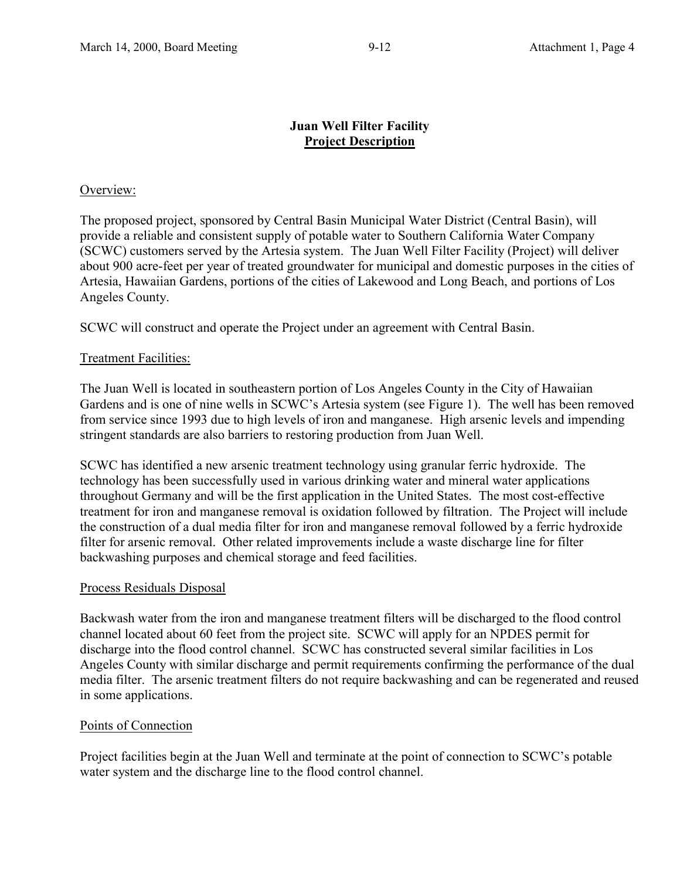### **Juan Well Filter Facility Project Description**

### Overview:

The proposed project, sponsored by Central Basin Municipal Water District (Central Basin), will provide a reliable and consistent supply of potable water to Southern California Water Company (SCWC) customers served by the Artesia system. The Juan Well Filter Facility (Project) will deliver about 900 acre-feet per year of treated groundwater for municipal and domestic purposes in the cities of Artesia, Hawaiian Gardens, portions of the cities of Lakewood and Long Beach, and portions of Los Angeles County.

SCWC will construct and operate the Project under an agreement with Central Basin.

### Treatment Facilities:

The Juan Well is located in southeastern portion of Los Angeles County in the City of Hawaiian Gardens and is one of nine wells in SCWC's Artesia system (see Figure 1). The well has been removed from service since 1993 due to high levels of iron and manganese. High arsenic levels and impending stringent standards are also barriers to restoring production from Juan Well.

SCWC has identified a new arsenic treatment technology using granular ferric hydroxide. The technology has been successfully used in various drinking water and mineral water applications throughout Germany and will be the first application in the United States. The most cost-effective treatment for iron and manganese removal is oxidation followed by filtration. The Project will include the construction of a dual media filter for iron and manganese removal followed by a ferric hydroxide filter for arsenic removal. Other related improvements include a waste discharge line for filter backwashing purposes and chemical storage and feed facilities.

### Process Residuals Disposal

Backwash water from the iron and manganese treatment filters will be discharged to the flood control channel located about 60 feet from the project site. SCWC will apply for an NPDES permit for discharge into the flood control channel. SCWC has constructed several similar facilities in Los Angeles County with similar discharge and permit requirements confirming the performance of the dual media filter. The arsenic treatment filters do not require backwashing and can be regenerated and reused in some applications.

### Points of Connection

Project facilities begin at the Juan Well and terminate at the point of connection to SCWC's potable water system and the discharge line to the flood control channel.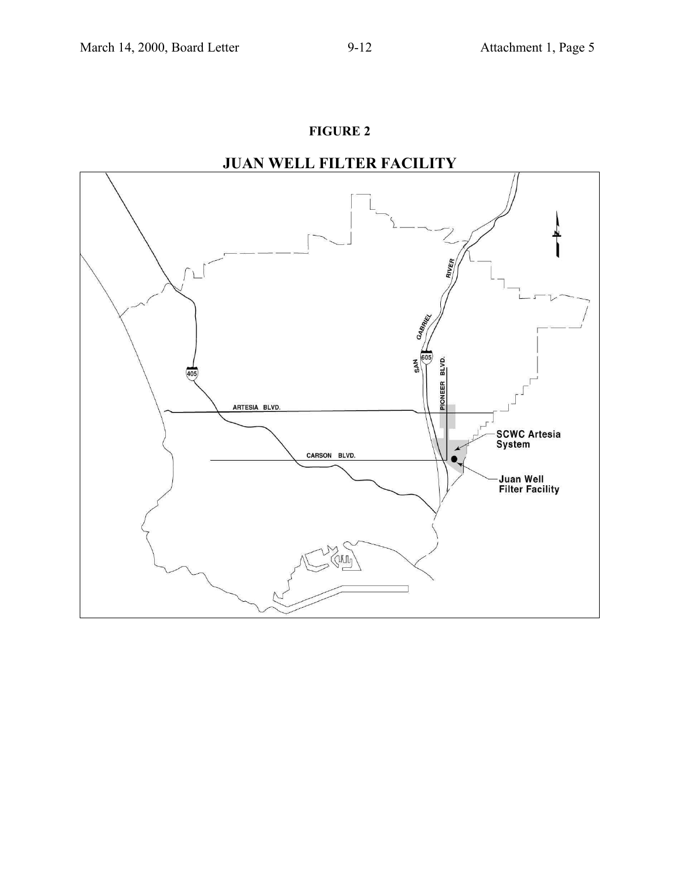## **FIGURE 2**



# **JUAN WELL FILTER FACILITY**